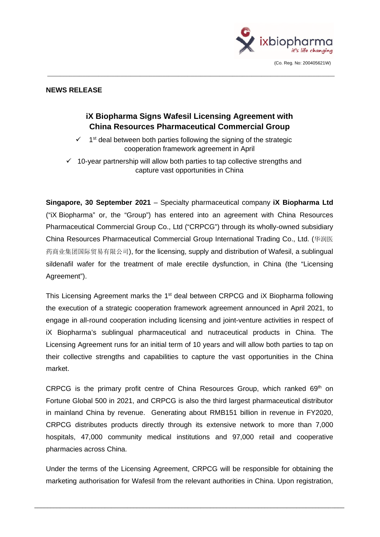

## **NEWS RELEASE**

# **iX Biopharma Signs Wafesil Licensing Agreement with China Resources Pharmaceutical Commercial Group**

 $\_$  ,  $\_$  ,  $\_$  ,  $\_$  ,  $\_$  ,  $\_$  ,  $\_$  ,  $\_$  ,  $\_$  ,  $\_$  ,  $\_$  ,  $\_$  ,  $\_$  ,  $\_$  ,  $\_$  ,  $\_$  ,  $\_$  ,  $\_$  ,  $\_$  ,  $\_$  ,  $\_$  ,  $\_$  ,  $\_$  ,  $\_$  ,  $\_$  ,  $\_$  ,  $\_$  ,  $\_$  ,  $\_$  ,  $\_$  ,  $\_$  ,  $\_$  ,  $\_$  ,  $\_$  ,  $\_$  ,  $\_$  ,  $\_$  ,

- $\checkmark$  1<sup>st</sup> deal between both parties following the signing of the strategic cooperation framework agreement in April
- $\checkmark$  10-year partnership will allow both parties to tap collective strengths and capture vast opportunities in China

**Singapore, 30 September 2021** – Specialty pharmaceutical company **iX Biopharma Ltd** ("iX Biopharma" or, the "Group") has entered into an agreement with China Resources Pharmaceutical Commercial Group Co., Ltd ("CRPCG") through its wholly-owned subsidiary China Resources Pharmaceutical Commercial Group International Trading Co., Ltd. (华润医 药商业集团国际贸易有限公司), for the licensing, supply and distribution of Wafesil, a sublingual sildenafil wafer for the treatment of male erectile dysfunction, in China (the "Licensing Agreement").

This Licensing Agreement marks the 1<sup>st</sup> deal between CRPCG and iX Biopharma following the execution of a strategic cooperation framework agreement announced in April 2021, to engage in all-round cooperation including licensing and joint-venture activities in respect of iX Biopharma's sublingual pharmaceutical and nutraceutical products in China. The Licensing Agreement runs for an initial term of 10 years and will allow both parties to tap on their collective strengths and capabilities to capture the vast opportunities in the China market.

CRPCG is the primary profit centre of China Resources Group, which ranked  $69<sup>th</sup>$  on Fortune Global 500 in 2021, and CRPCG is also the third largest pharmaceutical distributor in mainland China by revenue. Generating about RMB151 billion in revenue in FY2020, CRPCG distributes products directly through its extensive network to more than 7,000 hospitals, 47,000 community medical institutions and 97,000 retail and cooperative pharmacies across China.

Under the terms of the Licensing Agreement, CRPCG will be responsible for obtaining the marketing authorisation for Wafesil from the relevant authorities in China. Upon registration,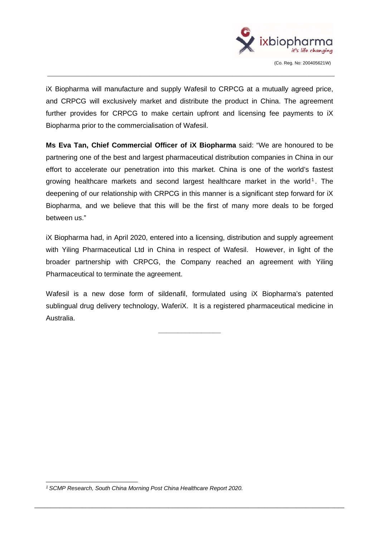

iX Biopharma will manufacture and supply Wafesil to CRPCG at a mutually agreed price, and CRPCG will exclusively market and distribute the product in China. The agreement further provides for CRPCG to make certain upfront and licensing fee payments to iX Biopharma prior to the commercialisation of Wafesil.

 $\_$  ,  $\_$  ,  $\_$  ,  $\_$  ,  $\_$  ,  $\_$  ,  $\_$  ,  $\_$  ,  $\_$  ,  $\_$  ,  $\_$  ,  $\_$  ,  $\_$  ,  $\_$  ,  $\_$  ,  $\_$  ,  $\_$  ,  $\_$  ,  $\_$  ,  $\_$  ,  $\_$  ,  $\_$  ,  $\_$  ,  $\_$  ,  $\_$  ,  $\_$  ,  $\_$  ,  $\_$  ,  $\_$  ,  $\_$  ,  $\_$  ,  $\_$  ,  $\_$  ,  $\_$  ,  $\_$  ,  $\_$  ,  $\_$  ,

**Ms Eva Tan, Chief Commercial Officer of iX Biopharma** said: "We are honoured to be partnering one of the best and largest pharmaceutical distribution companies in China in our effort to accelerate our penetration into this market. China is one of the world's fastest growing healthcare markets and second largest healthcare market in the world<sup>1</sup>. The deepening of our relationship with CRPCG in this manner is a significant step forward for iX Biopharma, and we believe that this will be the first of many more deals to be forged between us."

iX Biopharma had, in April 2020, entered into a licensing, distribution and supply agreement with Yiling Pharmaceutical Ltd in China in respect of Wafesil. However, in light of the broader partnership with CRPCG, the Company reached an agreement with Yiling Pharmaceutical to terminate the agreement.

Wafesil is a new dose form of sildenafil, formulated using iX Biopharma's patented sublingual drug delivery technology, WaferiX. It is a registered pharmaceutical medicine in Australia.

**\_\_\_\_\_\_\_\_\_\_\_\_\_\_\_\_** 

*<sup>1</sup> SCMP Research, South China Morning Post China Healthcare Report 2020.*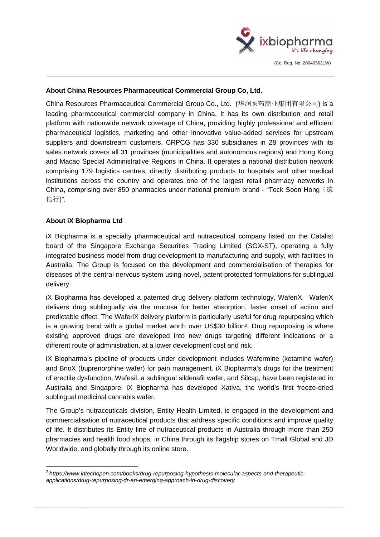

#### **About China Resources Pharmaceutical Commercial Group Co, Ltd.**

China Resources Pharmaceutical Commercial Group Co., Ltd. (华润医药商业集团有限公司) is a leading pharmaceutical commercial company in China. It has its own distribution and retail platform with nationwide network coverage of China, providing highly professional and efficient pharmaceutical logistics, marketing and other innovative value-added services for upstream suppliers and downstream customers. CRPCG has 330 subsidiaries in 28 provinces with its sales network covers all 31 provinces (municipalities and autonomous regions) and Hong Kong and Macao Special Administrative Regions in China. It operates a national distribution network comprising 179 logistics centres, directly distributing products to hospitals and other medical institutions across the country and operates one of the largest retail pharmacy networks in China, comprising over 850 pharmacies under national premium brand - "Teck Soon Hong (德 信行)".

 $\_$  ,  $\_$  ,  $\_$  ,  $\_$  ,  $\_$  ,  $\_$  ,  $\_$  ,  $\_$  ,  $\_$  ,  $\_$  ,  $\_$  ,  $\_$  ,  $\_$  ,  $\_$  ,  $\_$  ,  $\_$  ,  $\_$  ,  $\_$  ,  $\_$  ,  $\_$  ,  $\_$  ,  $\_$  ,  $\_$  ,  $\_$  ,  $\_$  ,  $\_$  ,  $\_$  ,  $\_$  ,  $\_$  ,  $\_$  ,  $\_$  ,  $\_$  ,  $\_$  ,  $\_$  ,  $\_$  ,  $\_$  ,  $\_$  ,

### **About iX Biopharma Ltd**

iX Biopharma is a specialty pharmaceutical and nutraceutical company listed on the Catalist board of the Singapore Exchange Securities Trading Limited (SGX-ST), operating a fully integrated business model from drug development to manufacturing and supply, with facilities in Australia. The Group is focused on the development and commercialisation of therapies for diseases of the central nervous system using novel, patent-protected formulations for sublingual delivery.

iX Biopharma has developed a patented drug delivery platform technology, WaferiX. WaferiX delivers drug sublingually via the mucosa for better absorption, faster onset of action and predictable effect. The WaferiX delivery platform is particularly useful for drug repurposing which is a growing trend with a global market worth over US\$30 billion<sup>2</sup>. Drug repurposing is where existing approved drugs are developed into new drugs targeting different indications or a different route of administration, at a lower development cost and risk.

iX Biopharma's pipeline of products under development includes Wafermine (ketamine wafer) and BnoX (buprenorphine wafer) for pain management. iX Biopharma's drugs for the treatment of erectile dysfunction, Wafesil, a sublingual sildenafil wafer, and Silcap, have been registered in Australia and Singapore. iX Biopharma has developed Xativa, the world's first freeze-dried sublingual medicinal cannabis wafer.

The Group's nutraceuticals division, Entity Health Limited, is engaged in the development and commercialisation of nutraceutical products that address specific conditions and improve quality of life. It distributes its Entity line of nutraceutical products in Australia through more than 250 pharmacies and health food shops, in China through its flagship stores on Tmall Global and JD Worldwide, and globally through its online store.

<sup>2</sup> *[https://www.intechopen.com/books/drug-repurposing-hypothesis-molecular-aspects-and-therapeutic](https://www.intechopen.com/books/drug-repurposing-hypothesis-molecular-aspects-and-therapeutic-applications/drug-repurposing-dr-an-emerging-approach-in-drug-discovery)[applications/drug-repurposing-dr-an-emerging-approach-in-drug-discovery](https://www.intechopen.com/books/drug-repurposing-hypothesis-molecular-aspects-and-therapeutic-applications/drug-repurposing-dr-an-emerging-approach-in-drug-discovery)*